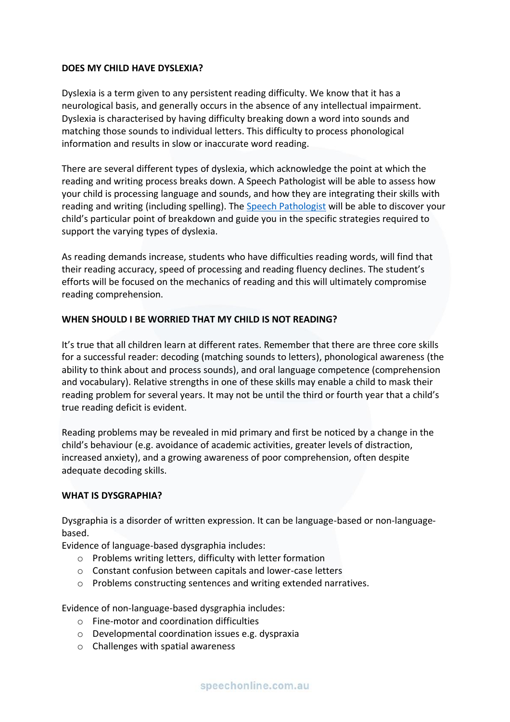## **DOES MY CHILD HAVE DYSLEXIA?**

Dyslexia is a term given to any persistent reading difficulty. We know that it has a neurological basis, and generally occurs in the absence of any intellectual impairment. Dyslexia is characterised by having difficulty breaking down a word into sounds and matching those sounds to individual letters. This difficulty to process phonological information and results in slow or inaccurate word reading.

There are several different types of dyslexia, which acknowledge the point at which the reading and writing process breaks down. A Speech Pathologist will be able to assess how your child is processing language and sounds, and how they are integrating their skills with reading and writing (including spelling). The [Speech Pathologist](https://speechonline.com.au/book-now/) will be able to discover your child's particular point of breakdown and guide you in the specific strategies required to support the varying types of dyslexia.

As reading demands increase, students who have difficulties reading words, will find that their reading accuracy, speed of processing and reading fluency declines. The student's efforts will be focused on the mechanics of reading and this will ultimately compromise reading comprehension.

## **WHEN SHOULD I BE WORRIED THAT MY CHILD IS NOT READING?**

It's true that all children learn at different rates. Remember that there are three core skills for a successful reader: decoding (matching sounds to letters), phonological awareness (the ability to think about and process sounds), and oral language competence (comprehension and vocabulary). Relative strengths in one of these skills may enable a child to mask their reading problem for several years. It may not be until the third or fourth year that a child's true reading deficit is evident.

Reading problems may be revealed in mid primary and first be noticed by a change in the child's behaviour (e.g. avoidance of academic activities, greater levels of distraction, increased anxiety), and a growing awareness of poor comprehension, often despite adequate decoding skills.

## **WHAT IS DYSGRAPHIA?**

Dysgraphia is a disorder of written expression. It can be language-based or non-languagebased.

Evidence of language-based dysgraphia includes:

- o Problems writing letters, difficulty with letter formation
- o Constant confusion between capitals and lower-case letters
- o Problems constructing sentences and writing extended narratives.

Evidence of non-language-based dysgraphia includes:

- o Fine-motor and coordination difficulties
- o Developmental coordination issues e.g. dyspraxia
- o Challenges with spatial awareness